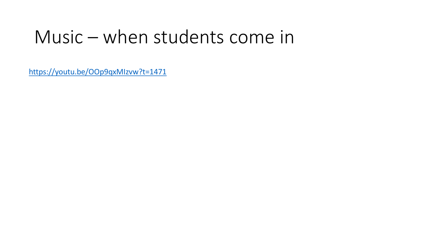### Music - when students come in

https://youtu.be/OOp9qxMIzvw?t=1471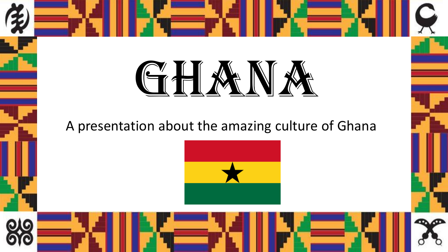# GHA

A presentation about the amazing culture of Ghana



ൈ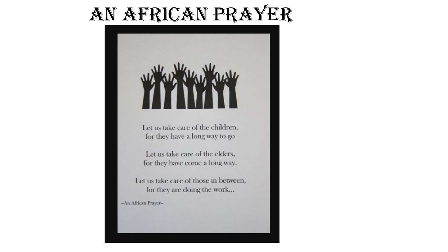### AN AFRICAN PRAYER



Let us take care of the children, for they have a long way to go

Let us take care of the elders, for they have come a long way.

Let us take care of those in between, for they are doing the work...

-An African Prayer-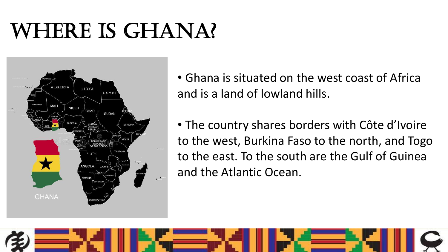### WHERE IS GHANA?



• Ghana is situated on the west coast of Africa and is a land of lowland hills.

• The country shares borders with Côte d'Ivoire to the west, Burkina Faso to the north, and Togo to the east. To the south are the Gulf of Guinea and the Atlantic Ocean.

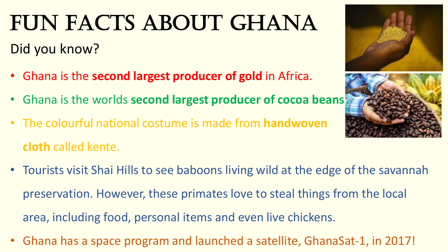## FUN FACTS ABOUT GHANA

Did you know?

- Ghana is the **second largest producer of gold** in Africa.
- Ghana is the worlds **second largest producer of cocoa beans**.
- The colourful national costume is made from **handwoven cloth** called kente.
- Tourists visit Shai Hills to see baboons living wild at the edge of the savannah preservation. However, these primates love to steal things from the local area, including food, personal items and even live chickens.
- Ghana has a space program and launched a satellite, GhanaSat-1, in 2017!



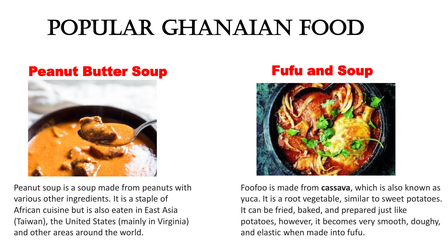## Popular Ghanaian food

### **Peanut Butter Soup Fufu and Soup**



Peanut soup is a soup made from peanuts with various other ingredients. It is a staple of African cuisine but is also eaten in East Asia (Taiwan), the United States (mainly in Virginia) and other areas around the world.



Foofoo is made from **cassava**, which is also known as yuca. It is a root vegetable, similar to sweet potatoes. It can be fried, baked, and prepared just like potatoes, however, it becomes very smooth, doughy, and elastic when made into fufu.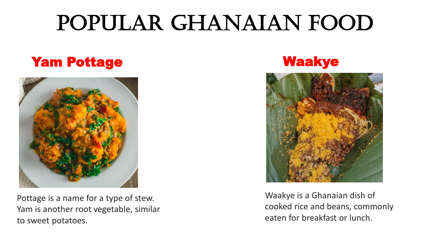### Popular Ghanaian food

### **Yam Pottage Waakye**



Pottage is a name for a type of stew. Yam is another root vegetable, similar to sweet potatoes.



Waakye is a Ghanaian dish of cooked rice and beans, commonly eaten for breakfast or lunch.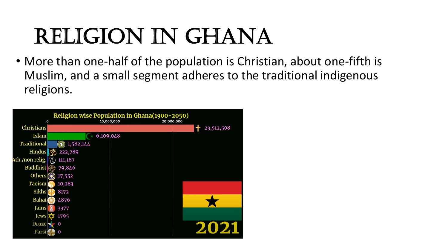## RELIGION IN GHANA

• More than one-half of the population is Christian, about one-fifth is Muslim, and a small segment adheres to the traditional indigenous religions.

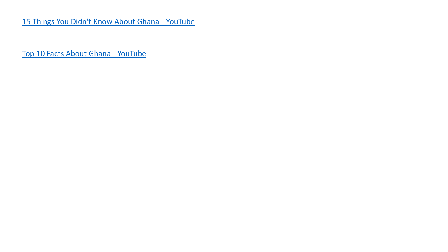[15 Things You Didn't Know About Ghana -](https://www.youtube.com/watch?v=lody0kPMAyI) YouTube

[Top 10 Facts About Ghana -](https://www.youtube.com/watch?v=opf7qYNwU2Q) YouTube